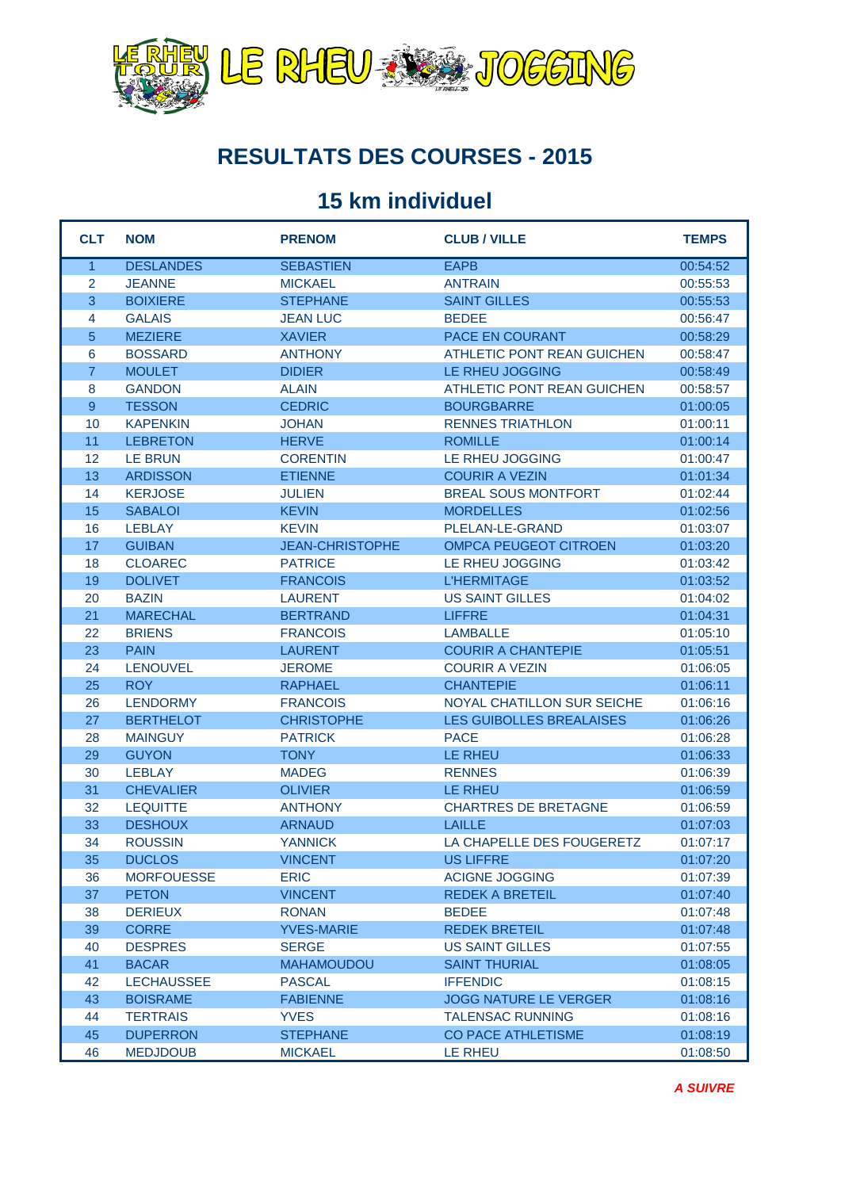

#### **RESULTATS DES COURSES - 2015**

#### **15 km individuel**

| <b>TEMPS</b> |
|--------------|
| 00:54:52     |
| 00:55:53     |
| 00:55:53     |
| 00:56:47     |
| 00:58:29     |
| 00:58:47     |
| 00:58:49     |
| 00:58:57     |
| 01:00:05     |
| 01:00:11     |
| 01:00:14     |
| 01:00:47     |
| 01:01:34     |
| 01:02:44     |
| 01:02:56     |
| 01:03:07     |
| 01:03:20     |
| 01:03:42     |
| 01:03:52     |
| 01:04:02     |
| 01:04:31     |
| 01:05:10     |
| 01:05:51     |
| 01:06:05     |
| 01:06:11     |
| 01:06:16     |
| 01:06:26     |
| 01:06:28     |
| 01:06:33     |
| 01:06:39     |
| 01:06:59     |
| 01:06:59     |
| 01:07:03     |
| 01:07:17     |
| 01:07:20     |
| 01:07:39     |
| 01:07:40     |
| 01:07:48     |
| 01:07:48     |
| 01:07:55     |
| 01:08:05     |
| 01:08:15     |
| 01:08:16     |
| 01:08:16     |
| 01:08:19     |
| 01:08:50     |
|              |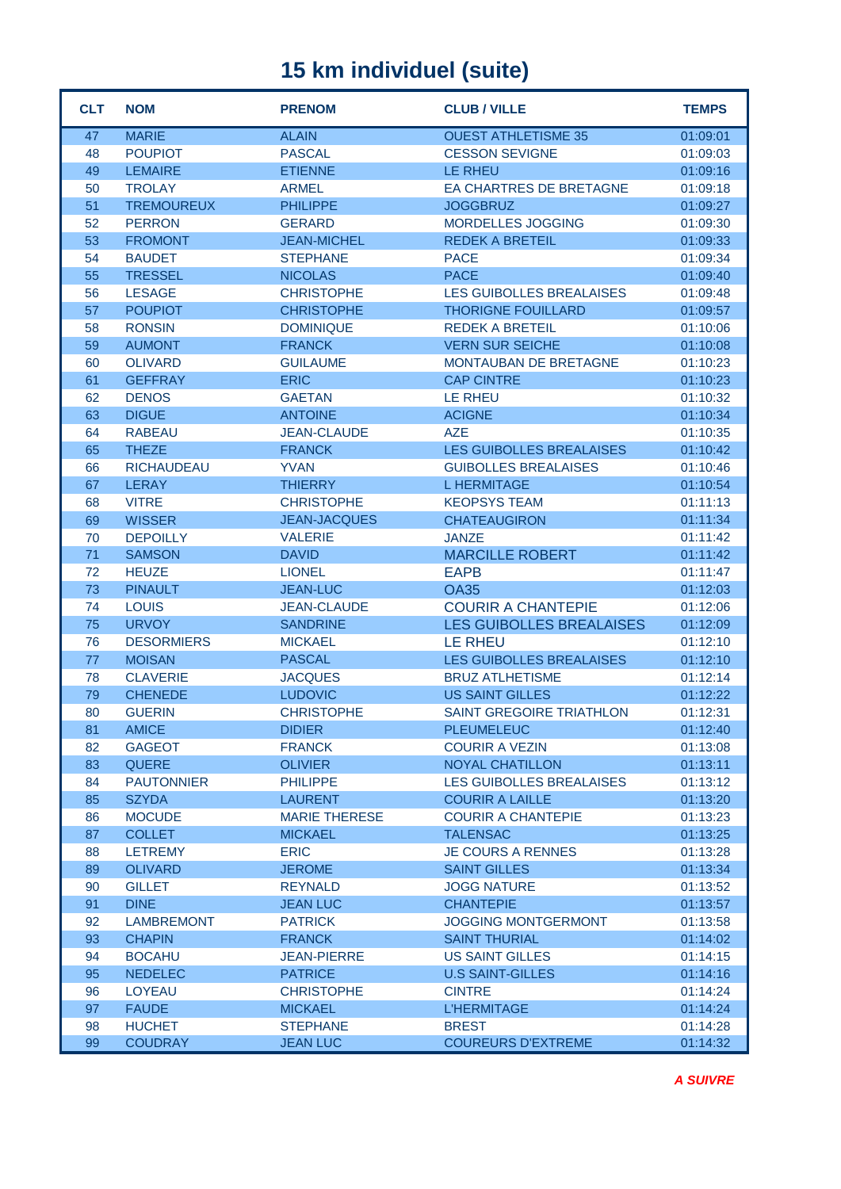| <b>CLT</b> | <b>NOM</b>        | <b>PRENOM</b>        | <b>CLUB / VILLE</b>             | <b>TEMPS</b> |
|------------|-------------------|----------------------|---------------------------------|--------------|
| 47         | <b>MARIE</b>      | <b>ALAIN</b>         | <b>OUEST ATHLETISME 35</b>      | 01:09:01     |
| 48         | <b>POUPIOT</b>    | <b>PASCAL</b>        | <b>CESSON SEVIGNE</b>           | 01:09:03     |
| 49         | <b>LEMAIRE</b>    | <b>ETIENNE</b>       | <b>LE RHEU</b>                  | 01:09:16     |
| 50         | <b>TROLAY</b>     | <b>ARMEL</b>         | EA CHARTRES DE BRETAGNE         | 01:09:18     |
| 51         | <b>TREMOUREUX</b> | <b>PHILIPPE</b>      | <b>JOGGBRUZ</b>                 | 01:09:27     |
| 52         | <b>PERRON</b>     | <b>GERARD</b>        | MORDELLES JOGGING               | 01:09:30     |
| 53         | <b>FROMONT</b>    | <b>JEAN-MICHEL</b>   | <b>REDEK A BRETEIL</b>          | 01:09:33     |
| 54         | <b>BAUDET</b>     | <b>STEPHANE</b>      | <b>PACE</b>                     | 01:09:34     |
| 55         | <b>TRESSEL</b>    | <b>NICOLAS</b>       | <b>PACE</b>                     | 01:09:40     |
| 56         | <b>LESAGE</b>     | <b>CHRISTOPHE</b>    | LES GUIBOLLES BREALAISES        | 01:09:48     |
| 57         | <b>POUPIOT</b>    | <b>CHRISTOPHE</b>    | <b>THORIGNE FOUILLARD</b>       | 01:09:57     |
| 58         | <b>RONSIN</b>     | <b>DOMINIQUE</b>     | <b>REDEK A BRETEIL</b>          | 01:10:06     |
| 59         | <b>AUMONT</b>     | <b>FRANCK</b>        | <b>VERN SUR SEICHE</b>          | 01:10:08     |
| 60         | <b>OLIVARD</b>    | <b>GUILAUME</b>      | <b>MONTAUBAN DE BRETAGNE</b>    | 01:10:23     |
| 61         | <b>GEFFRAY</b>    | <b>ERIC</b>          | <b>CAP CINTRE</b>               | 01:10:23     |
| 62         | <b>DENOS</b>      | <b>GAETAN</b>        | <b>LE RHEU</b>                  | 01:10:32     |
| 63         | <b>DIGUE</b>      | <b>ANTOINE</b>       | <b>ACIGNE</b>                   | 01:10:34     |
| 64         | <b>RABEAU</b>     | <b>JEAN-CLAUDE</b>   | <b>AZE</b>                      | 01:10:35     |
| 65         | <b>THEZE</b>      | <b>FRANCK</b>        | LES GUIBOLLES BREALAISES        | 01:10:42     |
| 66         | <b>RICHAUDEAU</b> | <b>YVAN</b>          | <b>GUIBOLLES BREALAISES</b>     | 01:10:46     |
| 67         | <b>LERAY</b>      | <b>THIERRY</b>       | <b>L HERMITAGE</b>              | 01:10:54     |
| 68         | <b>VITRE</b>      | <b>CHRISTOPHE</b>    | <b>KEOPSYS TEAM</b>             | 01:11:13     |
| 69         | <b>WISSER</b>     | <b>JEAN-JACQUES</b>  | <b>CHATEAUGIRON</b>             | 01:11:34     |
| 70         | <b>DEPOILLY</b>   | <b>VALERIE</b>       | <b>JANZE</b>                    | 01:11:42     |
| 71         | <b>SAMSON</b>     | <b>DAVID</b>         | <b>MARCILLE ROBERT</b>          | 01:11:42     |
| 72         | <b>HEUZE</b>      | <b>LIONEL</b>        | <b>EAPB</b>                     | 01:11:47     |
| 73         | <b>PINAULT</b>    | <b>JEAN-LUC</b>      | <b>OA35</b>                     | 01:12:03     |
| 74         | <b>LOUIS</b>      | <b>JEAN-CLAUDE</b>   | <b>COURIR A CHANTEPIE</b>       | 01:12:06     |
| 75         | <b>URVOY</b>      | <b>SANDRINE</b>      | <b>LES GUIBOLLES BREALAISES</b> | 01:12:09     |
| 76         | <b>DESORMIERS</b> | <b>MICKAEL</b>       | <b>LE RHEU</b>                  | 01:12:10     |
| 77         | <b>MOISAN</b>     | <b>PASCAL</b>        | LES GUIBOLLES BREALAISES        | 01:12:10     |
| 78         | <b>CLAVERIE</b>   | <b>JACQUES</b>       | <b>BRUZ ATLHETISME</b>          | 01:12:14     |
| 79         | <b>CHENEDE</b>    | <b>LUDOVIC</b>       | <b>US SAINT GILLES</b>          | 01:12:22     |
| 80         | <b>GUERIN</b>     | <b>CHRISTOPHE</b>    | <b>SAINT GREGOIRE TRIATHLON</b> | 01:12:31     |
| 81         | <b>AMICE</b>      | <b>DIDIER</b>        | <b>PLEUMELEUC</b>               | 01:12:40     |
| 82         | <b>GAGEOT</b>     | <b>FRANCK</b>        | <b>COURIR A VEZIN</b>           | 01:13:08     |
| 83         | <b>QUERE</b>      | <b>OLIVIER</b>       | <b>NOYAL CHATILLON</b>          | 01:13:11     |
| 84         | <b>PAUTONNIER</b> | <b>PHILIPPE</b>      | LES GUIBOLLES BREALAISES        | 01:13:12     |
| 85         | <b>SZYDA</b>      | <b>LAURENT</b>       | <b>COURIR A LAILLE</b>          | 01:13:20     |
| 86         | <b>MOCUDE</b>     | <b>MARIE THERESE</b> | <b>COURIR A CHANTEPIE</b>       | 01:13:23     |
| 87         | <b>COLLET</b>     | <b>MICKAEL</b>       | <b>TALENSAC</b>                 | 01:13:25     |
| 88         | <b>LETREMY</b>    | <b>ERIC</b>          | <b>JE COURS A RENNES</b>        | 01:13:28     |
| 89         | <b>OLIVARD</b>    | <b>JEROME</b>        | <b>SAINT GILLES</b>             | 01:13:34     |
| 90         | <b>GILLET</b>     | <b>REYNALD</b>       | <b>JOGG NATURE</b>              | 01:13:52     |
| 91         | <b>DINE</b>       | <b>JEAN LUC</b>      | <b>CHANTEPIE</b>                | 01:13:57     |
| 92         | <b>LAMBREMONT</b> | <b>PATRICK</b>       | <b>JOGGING MONTGERMONT</b>      | 01:13:58     |
| 93         | <b>CHAPIN</b>     | <b>FRANCK</b>        | <b>SAINT THURIAL</b>            | 01:14:02     |
| 94         | <b>BOCAHU</b>     | <b>JEAN-PIERRE</b>   | <b>US SAINT GILLES</b>          | 01:14:15     |
| 95         | <b>NEDELEC</b>    | <b>PATRICE</b>       | <b>U.S SAINT-GILLES</b>         | 01:14:16     |
| 96         | <b>LOYEAU</b>     | <b>CHRISTOPHE</b>    | <b>CINTRE</b>                   | 01:14:24     |
| 97         | <b>FAUDE</b>      | <b>MICKAEL</b>       | <b>L'HERMITAGE</b>              | 01:14:24     |
| 98         | <b>HUCHET</b>     | <b>STEPHANE</b>      | <b>BREST</b>                    | 01:14:28     |
| 99         | <b>COUDRAY</b>    | <b>JEAN LUC</b>      | <b>COUREURS D'EXTREME</b>       | 01:14:32     |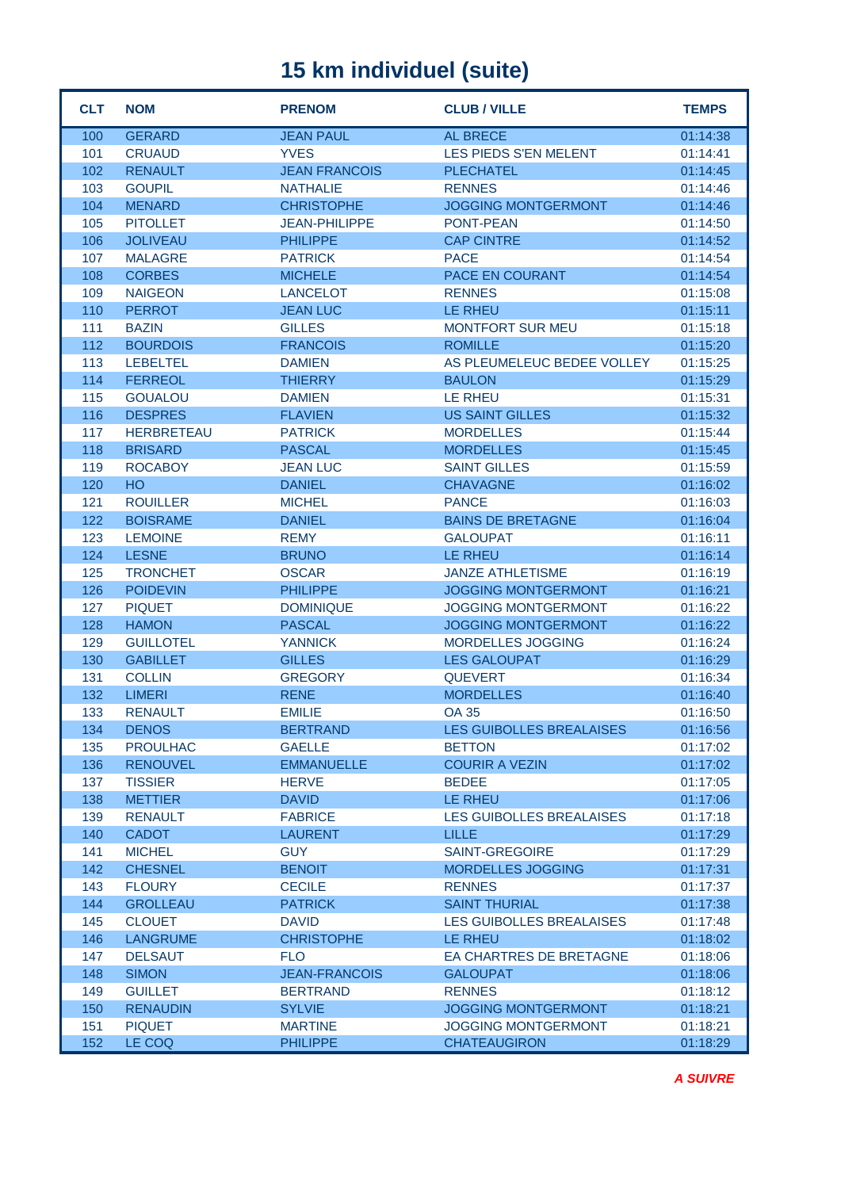| <b>CLT</b> | <b>NOM</b>        | <b>PRENOM</b>        | <b>CLUB / VILLE</b>             | <b>TEMPS</b> |
|------------|-------------------|----------------------|---------------------------------|--------------|
| 100        | <b>GERARD</b>     | <b>JEAN PAUL</b>     | <b>AL BRECE</b>                 | 01:14:38     |
| 101        | <b>CRUAUD</b>     | <b>YVES</b>          | LES PIEDS S'EN MELENT           | 01:14:41     |
| 102        | <b>RENAULT</b>    | <b>JEAN FRANCOIS</b> | <b>PLECHATEL</b>                | 01:14:45     |
| 103        | <b>GOUPIL</b>     | <b>NATHALIE</b>      | <b>RENNES</b>                   | 01:14:46     |
| 104        | <b>MENARD</b>     | <b>CHRISTOPHE</b>    | <b>JOGGING MONTGERMONT</b>      | 01:14:46     |
| 105        | <b>PITOLLET</b>   | <b>JEAN-PHILIPPE</b> | <b>PONT-PEAN</b>                | 01:14:50     |
| 106        | <b>JOLIVEAU</b>   | <b>PHILIPPE</b>      | <b>CAP CINTRE</b>               | 01:14:52     |
| 107        | <b>MALAGRE</b>    | <b>PATRICK</b>       | <b>PACE</b>                     | 01:14:54     |
| 108        | <b>CORBES</b>     | <b>MICHELE</b>       | PACE EN COURANT                 | 01:14:54     |
| 109        | <b>NAIGEON</b>    | <b>LANCELOT</b>      | <b>RENNES</b>                   | 01:15:08     |
| 110        | <b>PERROT</b>     | <b>JEAN LUC</b>      | LE RHEU                         | 01:15:11     |
| 111        | <b>BAZIN</b>      | <b>GILLES</b>        | <b>MONTFORT SUR MEU</b>         | 01:15:18     |
| 112        | <b>BOURDOIS</b>   | <b>FRANCOIS</b>      | <b>ROMILLE</b>                  | 01:15:20     |
| 113        | <b>LEBELTEL</b>   | <b>DAMIEN</b>        | AS PLEUMELEUC BEDEE VOLLEY      | 01:15:25     |
| 114        | <b>FERREOL</b>    | <b>THIERRY</b>       | <b>BAULON</b>                   | 01:15:29     |
| 115        | <b>GOUALOU</b>    | <b>DAMIEN</b>        | LE RHEU                         | 01:15:31     |
| 116        | <b>DESPRES</b>    | <b>FLAVIEN</b>       | <b>US SAINT GILLES</b>          | 01:15:32     |
| 117        | <b>HERBRETEAU</b> | <b>PATRICK</b>       | <b>MORDELLES</b>                | 01:15:44     |
| 118        | <b>BRISARD</b>    | <b>PASCAL</b>        | <b>MORDELLES</b>                | 01:15:45     |
| 119        | <b>ROCABOY</b>    | <b>JEAN LUC</b>      | <b>SAINT GILLES</b>             | 01:15:59     |
| 120        | <b>HO</b>         | <b>DANIEL</b>        | <b>CHAVAGNE</b>                 | 01:16:02     |
| 121        | <b>ROUILLER</b>   | <b>MICHEL</b>        | <b>PANCE</b>                    | 01:16:03     |
| 122        | <b>BOISRAME</b>   | <b>DANIEL</b>        | <b>BAINS DE BRETAGNE</b>        | 01:16:04     |
| 123        | <b>LEMOINE</b>    | <b>REMY</b>          | <b>GALOUPAT</b>                 | 01:16:11     |
| 124        | <b>LESNE</b>      | <b>BRUNO</b>         | <b>LE RHEU</b>                  | 01:16:14     |
| 125        | <b>TRONCHET</b>   | <b>OSCAR</b>         | <b>JANZE ATHLETISME</b>         | 01:16:19     |
| 126        | <b>POIDEVIN</b>   | <b>PHILIPPE</b>      | <b>JOGGING MONTGERMONT</b>      | 01:16:21     |
| 127        | <b>PIQUET</b>     | <b>DOMINIQUE</b>     | <b>JOGGING MONTGERMONT</b>      | 01:16:22     |
| 128        | <b>HAMON</b>      | <b>PASCAL</b>        | <b>JOGGING MONTGERMONT</b>      | 01:16:22     |
| 129        | <b>GUILLOTEL</b>  | <b>YANNICK</b>       | MORDELLES JOGGING               | 01:16:24     |
| 130        | <b>GABILLET</b>   | <b>GILLES</b>        | <b>LES GALOUPAT</b>             | 01:16:29     |
| 131        | <b>COLLIN</b>     | <b>GREGORY</b>       | <b>QUEVERT</b>                  | 01:16:34     |
| 132        | <b>LIMERI</b>     | <b>RENE</b>          | <b>MORDELLES</b>                | 01:16:40     |
| 133        | <b>RENAULT</b>    | <b>EMILIE</b>        | <b>OA 35</b>                    | 01:16:50     |
| 134        | <b>DENOS</b>      | <b>BERTRAND</b>      | LES GUIBOLLES BREALAISES        | 01:16:56     |
| 135        | <b>PROULHAC</b>   | <b>GAELLE</b>        | <b>BETTON</b>                   | 01:17:02     |
| 136        | <b>RENOUVEL</b>   | <b>EMMANUELLE</b>    | <b>COURIR A VEZIN</b>           | 01:17:02     |
| 137        | <b>TISSIER</b>    | <b>HERVE</b>         | <b>BEDEE</b>                    | 01:17:05     |
| 138        | <b>METTIER</b>    | <b>DAVID</b>         | LE RHEU                         | 01:17:06     |
| 139        | <b>RENAULT</b>    | <b>FABRICE</b>       | <b>LES GUIBOLLES BREALAISES</b> | 01:17:18     |
| 140        | <b>CADOT</b>      | <b>LAURENT</b>       | <b>LILLE</b>                    | 01:17:29     |
| 141        | <b>MICHEL</b>     | <b>GUY</b>           | <b>SAINT-GREGOIRE</b>           | 01:17:29     |
| 142        | <b>CHESNEL</b>    | <b>BENOIT</b>        | <b>MORDELLES JOGGING</b>        | 01:17:31     |
| 143        | <b>FLOURY</b>     | <b>CECILE</b>        | <b>RENNES</b>                   | 01:17:37     |
| 144        | <b>GROLLEAU</b>   | <b>PATRICK</b>       | <b>SAINT THURIAL</b>            | 01:17:38     |
| 145        | <b>CLOUET</b>     | <b>DAVID</b>         | LES GUIBOLLES BREALAISES        | 01:17:48     |
| 146        | <b>LANGRUME</b>   | <b>CHRISTOPHE</b>    | <b>LE RHEU</b>                  | 01:18:02     |
| 147        | <b>DELSAUT</b>    | <b>FLO</b>           | EA CHARTRES DE BRETAGNE         | 01:18:06     |
| 148        | <b>SIMON</b>      | <b>JEAN-FRANCOIS</b> | <b>GALOUPAT</b>                 | 01:18:06     |
| 149        | <b>GUILLET</b>    | <b>BERTRAND</b>      | <b>RENNES</b>                   | 01:18:12     |
| 150        | <b>RENAUDIN</b>   | <b>SYLVIE</b>        | <b>JOGGING MONTGERMONT</b>      | 01:18:21     |
| 151        | <b>PIQUET</b>     | <b>MARTINE</b>       | <b>JOGGING MONTGERMONT</b>      | 01:18:21     |
| 152        | LE COQ            | <b>PHILIPPE</b>      | <b>CHATEAUGIRON</b>             | 01:18:29     |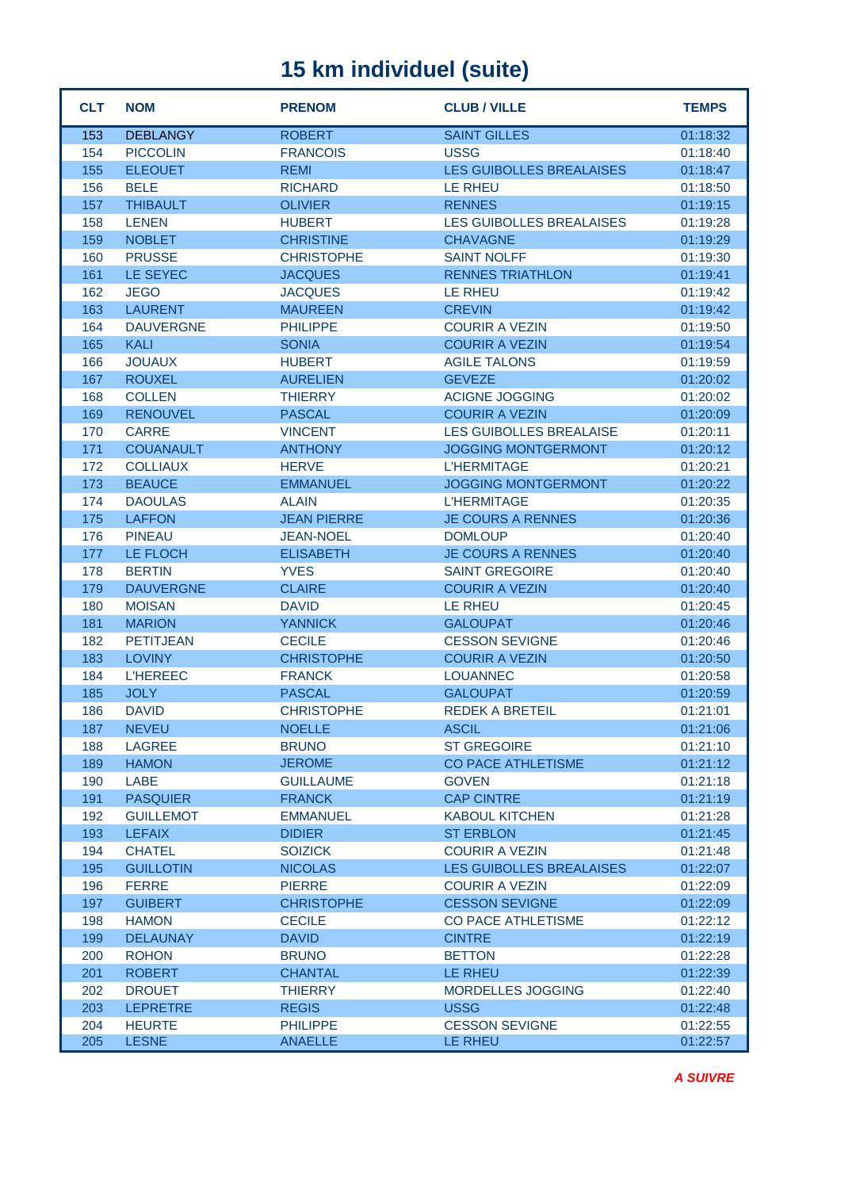| <b>CLT</b> | <b>NOM</b>                      | <b>PRENOM</b>                 | <b>CLUB / VILLE</b>                        | <b>TEMPS</b>         |
|------------|---------------------------------|-------------------------------|--------------------------------------------|----------------------|
| 153        | <b>DEBLANGY</b>                 | <b>ROBERT</b>                 | <b>SAINT GILLES</b>                        | 01:18:32             |
| 154        | <b>PICCOLIN</b>                 | <b>FRANCOIS</b>               | <b>USSG</b>                                | 01:18:40             |
| 155        | <b>ELEOUET</b>                  | <b>REMI</b>                   | <b>LES GUIBOLLES BREALAISES</b>            | 01:18:47             |
| 156        | <b>BELE</b>                     | <b>RICHARD</b>                | <b>LE RHEU</b>                             | 01:18:50             |
| 157        | <b>THIBAULT</b>                 | <b>OLIVIER</b>                | <b>RENNES</b>                              | 01:19:15             |
| 158        | <b>LENEN</b>                    | <b>HUBERT</b>                 | <b>LES GUIBOLLES BREALAISES</b>            | 01:19:28             |
| 159        | <b>NOBLET</b>                   | <b>CHRISTINE</b>              | <b>CHAVAGNE</b>                            | 01:19:29             |
| 160        | <b>PRUSSE</b>                   | <b>CHRISTOPHE</b>             | <b>SAINT NOLFF</b>                         | 01:19:30             |
| 161        | LE SEYEC                        | <b>JACQUES</b>                | <b>RENNES TRIATHLON</b>                    | 01:19:41             |
| 162        | <b>JEGO</b>                     | <b>JACQUES</b>                | <b>LE RHEU</b>                             | 01:19:42             |
| 163        | <b>LAURENT</b>                  | <b>MAUREEN</b>                | <b>CREVIN</b>                              | 01:19:42             |
| 164        | <b>DAUVERGNE</b>                | <b>PHILIPPE</b>               | <b>COURIR A VEZIN</b>                      | 01:19:50             |
| 165        | <b>KALI</b>                     | <b>SONIA</b>                  | <b>COURIR A VEZIN</b>                      | 01:19:54             |
| 166        | <b>JOUAUX</b>                   | <b>HUBERT</b>                 | <b>AGILE TALONS</b>                        | 01:19:59             |
| 167        | <b>ROUXEL</b>                   | <b>AURELIEN</b>               | <b>GEVEZE</b>                              | 01:20:02             |
| 168        | <b>COLLEN</b>                   | <b>THIERRY</b>                | <b>ACIGNE JOGGING</b>                      | 01:20:02             |
| 169        | <b>RENOUVEL</b>                 | <b>PASCAL</b>                 | <b>COURIR A VEZIN</b>                      | 01:20:09             |
| 170        | <b>CARRE</b>                    | <b>VINCENT</b>                | LES GUIBOLLES BREALAISE                    | 01:20:11             |
| 171        | <b>COUANAULT</b>                | <b>ANTHONY</b>                | <b>JOGGING MONTGERMONT</b>                 | 01:20:12             |
| 172        | <b>COLLIAUX</b>                 | <b>HERVE</b>                  | <b>L'HERMITAGE</b>                         | 01:20:21             |
| 173        | <b>BEAUCE</b>                   | <b>EMMANUEL</b>               | <b>JOGGING MONTGERMONT</b>                 | 01:20:22             |
| 174        | <b>DAOULAS</b>                  | <b>ALAIN</b>                  | <b>L'HERMITAGE</b>                         | 01:20:35             |
| 175        | <b>LAFFON</b>                   | <b>JEAN PIERRE</b>            | <b>JE COURS A RENNES</b>                   | 01:20:36             |
| 176        | <b>PINEAU</b>                   | <b>JEAN-NOEL</b>              | <b>DOMLOUP</b>                             | 01:20:40             |
| 177        | LE FLOCH                        | <b>ELISABETH</b>              | <b>JE COURS A RENNES</b>                   | 01:20:40             |
| 178        | <b>BERTIN</b>                   | <b>YVES</b>                   | <b>SAINT GREGOIRE</b>                      | 01:20:40             |
| 179        | <b>DAUVERGNE</b>                | <b>CLAIRE</b>                 | <b>COURIR A VEZIN</b>                      | 01:20:40             |
| 180        | <b>MOISAN</b>                   | <b>DAVID</b>                  | <b>LE RHEU</b>                             | 01:20:45             |
| 181        | <b>MARION</b>                   | <b>YANNICK</b>                | <b>GALOUPAT</b>                            | 01:20:46             |
| 182        | <b>PETITJEAN</b>                | <b>CECILE</b>                 | <b>CESSON SEVIGNE</b>                      | 01:20:46             |
| 183        | <b>LOVINY</b>                   | <b>CHRISTOPHE</b>             | <b>COURIR A VEZIN</b>                      | 01:20:50             |
| 184        | <b>L'HEREEC</b>                 | <b>FRANCK</b>                 | <b>LOUANNEC</b>                            | 01:20:58             |
| 185        | <b>JOLY</b>                     | <b>PASCAL</b>                 | <b>GALOUPAT</b>                            | 01:20:59             |
| 186        | <b>DAVID</b>                    | <b>CHRISTOPHE</b>             | <b>REDEK A BRETEIL</b>                     | 01:21:01             |
| 187        | <b>NEVEU</b>                    | <b>NOELLE</b>                 | <b>ASCIL</b>                               | 01:21:06             |
| 188        | <b>LAGREE</b>                   | <b>BRUNO</b>                  | <b>ST GREGOIRE</b>                         | 01:21:10             |
| 189        | <b>HAMON</b>                    | <b>JEROME</b>                 | <b>CO PACE ATHLETISME</b>                  | 01:21:12             |
| 190        | LABE                            | <b>GUILLAUME</b>              | <b>GOVEN</b>                               | 01:21:18             |
| 191        | <b>PASQUIER</b>                 | <b>FRANCK</b>                 | <b>CAP CINTRE</b>                          | 01:21:19             |
| 192        | <b>GUILLEMOT</b>                | <b>EMMANUEL</b>               | <b>KABOUL KITCHEN</b>                      | 01:21:28             |
| 193        | <b>LEFAIX</b>                   | <b>DIDIER</b>                 | <b>ST ERBLON</b>                           | 01:21:45             |
| 194        | <b>CHATEL</b>                   | <b>SOIZICK</b>                | <b>COURIR A VEZIN</b>                      | 01:21:48             |
| 195        | <b>GUILLOTIN</b>                | <b>NICOLAS</b>                | <b>LES GUIBOLLES BREALAISES</b>            | 01:22:07             |
| 196        | <b>FERRE</b>                    | <b>PIERRE</b>                 | <b>COURIR A VEZIN</b>                      | 01:22:09             |
| 197        | <b>GUIBERT</b>                  | <b>CHRISTOPHE</b>             | <b>CESSON SEVIGNE</b>                      | 01:22:09             |
| 198<br>199 | <b>HAMON</b><br><b>DELAUNAY</b> | <b>CECILE</b><br><b>DAVID</b> | <b>CO PACE ATHLETISME</b><br><b>CINTRE</b> | 01:22:12<br>01:22:19 |
|            | <b>ROHON</b>                    | <b>BRUNO</b>                  |                                            |                      |
| 200<br>201 | <b>ROBERT</b>                   | <b>CHANTAL</b>                | <b>BETTON</b><br>LE RHEU                   | 01:22:28<br>01:22:39 |
| 202        | <b>DROUET</b>                   | <b>THIERRY</b>                | MORDELLES JOGGING                          | 01:22:40             |
| 203        | <b>LEPRETRE</b>                 | <b>REGIS</b>                  | <b>USSG</b>                                | 01:22:48             |
| 204        | <b>HEURTE</b>                   | <b>PHILIPPE</b>               | <b>CESSON SEVIGNE</b>                      | 01:22:55             |
| 205        | <b>LESNE</b>                    | <b>ANAELLE</b>                | LE RHEU                                    | 01:22:57             |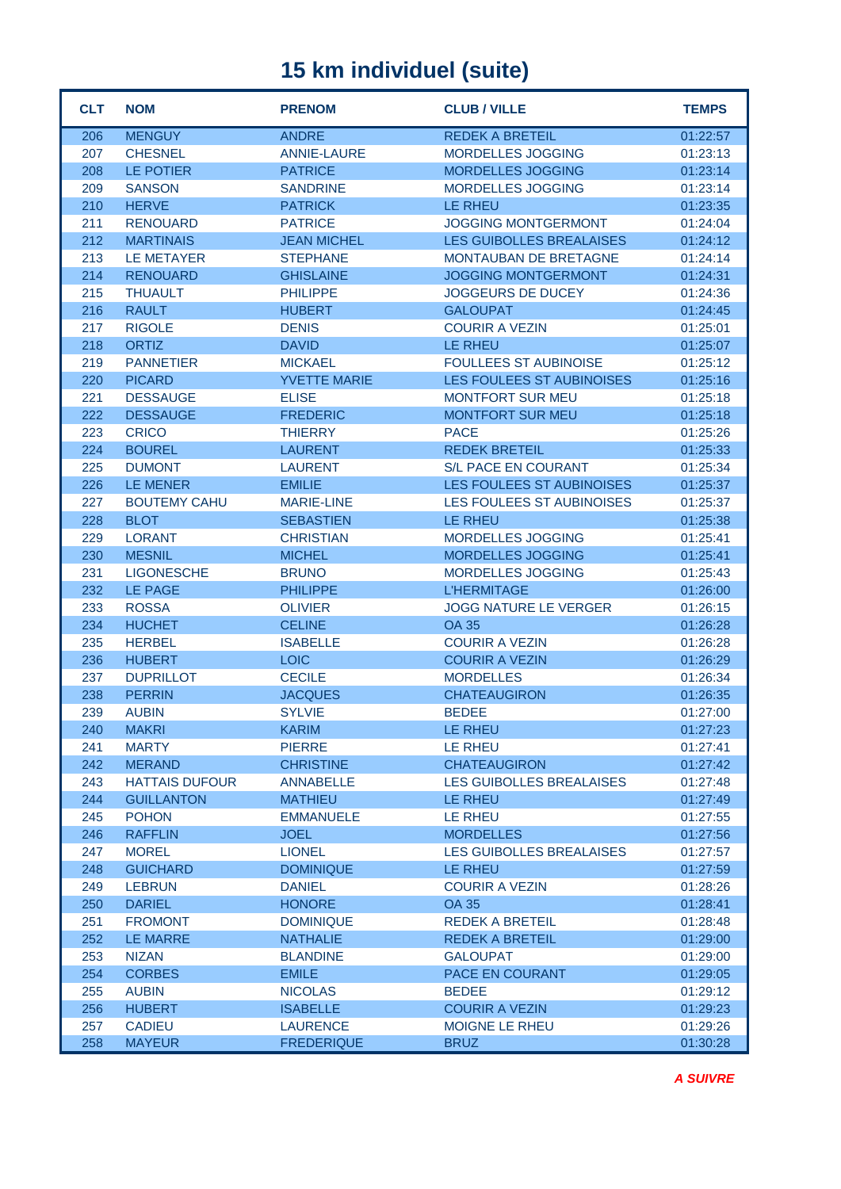| <b>CLT</b> | <b>NOM</b>                     | <b>PRENOM</b>                        | <b>CLUB / VILLE</b>             | <b>TEMPS</b>         |
|------------|--------------------------------|--------------------------------------|---------------------------------|----------------------|
| 206        | <b>MENGUY</b>                  | <b>ANDRE</b>                         | <b>REDEK A BRETEIL</b>          | 01:22:57             |
| 207        | <b>CHESNEL</b>                 | <b>ANNIE-LAURE</b>                   | MORDELLES JOGGING               | 01:23:13             |
| 208        | LE POTIER                      | <b>PATRICE</b>                       | MORDELLES JOGGING               | 01:23:14             |
| 209        | <b>SANSON</b>                  | <b>SANDRINE</b>                      | MORDELLES JOGGING               | 01:23:14             |
| 210        | <b>HERVE</b>                   | <b>PATRICK</b>                       | LE RHEU                         | 01:23:35             |
| 211        | <b>RENOUARD</b>                | <b>PATRICE</b>                       | <b>JOGGING MONTGERMONT</b>      | 01:24:04             |
| 212        | <b>MARTINAIS</b>               | <b>JEAN MICHEL</b>                   | LES GUIBOLLES BREALAISES        | 01:24:12             |
| 213        | <b>LE METAYER</b>              | <b>STEPHANE</b>                      | MONTAUBAN DE BRETAGNE           | 01:24:14             |
| 214        | <b>RENOUARD</b>                | <b>GHISLAINE</b>                     | <b>JOGGING MONTGERMONT</b>      | 01:24:31             |
| 215        | <b>THUAULT</b>                 | <b>PHILIPPE</b>                      | <b>JOGGEURS DE DUCEY</b>        | 01:24:36             |
| 216        | <b>RAULT</b>                   | <b>HUBERT</b>                        | <b>GALOUPAT</b>                 | 01:24:45             |
| 217        | <b>RIGOLE</b>                  | <b>DENIS</b>                         | <b>COURIR A VEZIN</b>           | 01:25:01             |
| 218        | <b>ORTIZ</b>                   | <b>DAVID</b>                         | LE RHEU                         | 01:25:07             |
| 219        | <b>PANNETIER</b>               | <b>MICKAEL</b>                       | <b>FOULLEES ST AUBINOISE</b>    | 01:25:12             |
| 220        | <b>PICARD</b>                  | <b>YVETTE MARIE</b>                  | LES FOULEES ST AUBINOISES       | 01:25:16             |
| 221        | <b>DESSAUGE</b>                | <b>ELISE</b>                         | <b>MONTFORT SUR MEU</b>         | 01:25:18             |
| 222        | <b>DESSAUGE</b>                | <b>FREDERIC</b>                      | <b>MONTFORT SUR MEU</b>         | 01:25:18             |
| 223        | <b>CRICO</b>                   | <b>THIERRY</b>                       | <b>PACE</b>                     | 01:25:26             |
| 224        | <b>BOUREL</b>                  | <b>LAURENT</b>                       | <b>REDEK BRETEIL</b>            | 01:25:33             |
| 225        | <b>DUMONT</b>                  | <b>LAURENT</b>                       | S/L PACE EN COURANT             | 01:25:34             |
| 226        | <b>LE MENER</b>                | <b>EMILIE</b>                        | LES FOULEES ST AUBINOISES       | 01:25:37             |
| 227        | <b>BOUTEMY CAHU</b>            | <b>MARIE-LINE</b>                    | LES FOULEES ST AUBINOISES       | 01:25:37             |
| 228        | <b>BLOT</b>                    | <b>SEBASTIEN</b>                     | LE RHEU                         | 01:25:38             |
| 229        | <b>LORANT</b>                  | <b>CHRISTIAN</b>                     | MORDELLES JOGGING               | 01:25:41             |
| 230        | <b>MESNIL</b>                  | <b>MICHEL</b>                        | MORDELLES JOGGING               | 01:25:41             |
| 231        | <b>LIGONESCHE</b>              | <b>BRUNO</b>                         | MORDELLES JOGGING               | 01:25:43             |
| 232        | LE PAGE                        | <b>PHILIPPE</b>                      | <b>L'HERMITAGE</b>              | 01:26:00             |
| 233        | <b>ROSSA</b>                   | <b>OLIVIER</b>                       | <b>JOGG NATURE LE VERGER</b>    | 01:26:15             |
| 234        | <b>HUCHET</b>                  | <b>CELINE</b>                        | <b>OA 35</b>                    | 01:26:28             |
| 235        | <b>HERBEL</b>                  | <b>ISABELLE</b>                      | <b>COURIR A VEZIN</b>           | 01:26:28             |
| 236        | <b>HUBERT</b>                  | <b>LOIC</b>                          | <b>COURIR A VEZIN</b>           | 01:26:29             |
| 237        | <b>DUPRILLOT</b>               | <b>CECILE</b>                        | <b>MORDELLES</b>                | 01:26:34             |
| 238        | <b>PERRIN</b>                  | <b>JACQUES</b>                       | <b>CHATEAUGIRON</b>             | 01:26:35             |
| 239        | <b>AUBIN</b>                   | <b>SYLVIE</b>                        | <b>BEDEE</b>                    | 01:27:00             |
| 240        | <b>MAKRI</b>                   | <b>KARIM</b>                         | LE RHEU                         | 01:27:23             |
| 241        | <b>MARTY</b>                   | <b>PIERRE</b>                        | LE RHEU                         | 01:27:41             |
| 242        | <b>MERAND</b>                  | <b>CHRISTINE</b>                     | <b>CHATEAUGIRON</b>             | 01:27:42             |
| 243        | <b>HATTAIS DUFOUR</b>          | <b>ANNABELLE</b>                     | LES GUIBOLLES BREALAISES        | 01:27:48             |
| 244        | <b>GUILLANTON</b>              | <b>MATHIEU</b>                       | LE RHEU                         | 01:27:49             |
| 245        | <b>POHON</b>                   | <b>EMMANUELE</b>                     | LE RHEU                         | 01:27:55             |
| 246        | <b>RAFFLIN</b>                 | <b>JOEL</b>                          | <b>MORDELLES</b>                | 01:27:56             |
| 247        | <b>MOREL</b>                   | <b>LIONEL</b>                        | <b>LES GUIBOLLES BREALAISES</b> | 01:27:57             |
| 248        | <b>GUICHARD</b>                | <b>DOMINIQUE</b>                     | LE RHEU                         | 01:27:59             |
| 249        | <b>LEBRUN</b>                  | <b>DANIEL</b>                        | <b>COURIR A VEZIN</b>           | 01:28:26             |
| 250        | <b>DARIEL</b>                  | <b>HONORE</b>                        | <b>OA 35</b>                    | 01:28:41             |
| 251        | <b>FROMONT</b>                 | <b>DOMINIQUE</b>                     | <b>REDEK A BRETEIL</b>          | 01:28:48             |
| 252        | <b>LE MARRE</b>                | <b>NATHALIE</b>                      | <b>REDEK A BRETEIL</b>          | 01:29:00             |
| 253        | <b>NIZAN</b>                   | <b>BLANDINE</b>                      | <b>GALOUPAT</b>                 | 01:29:00             |
| 254        | <b>CORBES</b>                  | <b>EMILE</b>                         | PACE EN COURANT                 | 01:29:05             |
| 255        | <b>AUBIN</b>                   | <b>NICOLAS</b>                       | <b>BEDEE</b>                    | 01:29:12             |
| 256        | <b>HUBERT</b>                  | <b>ISABELLE</b>                      | <b>COURIR A VEZIN</b>           | 01:29:23             |
| 257<br>258 | <b>CADIEU</b><br><b>MAYEUR</b> | <b>LAURENCE</b><br><b>FREDERIQUE</b> | MOIGNE LE RHEU<br><b>BRUZ</b>   | 01:29:26<br>01:30:28 |
|            |                                |                                      |                                 |                      |